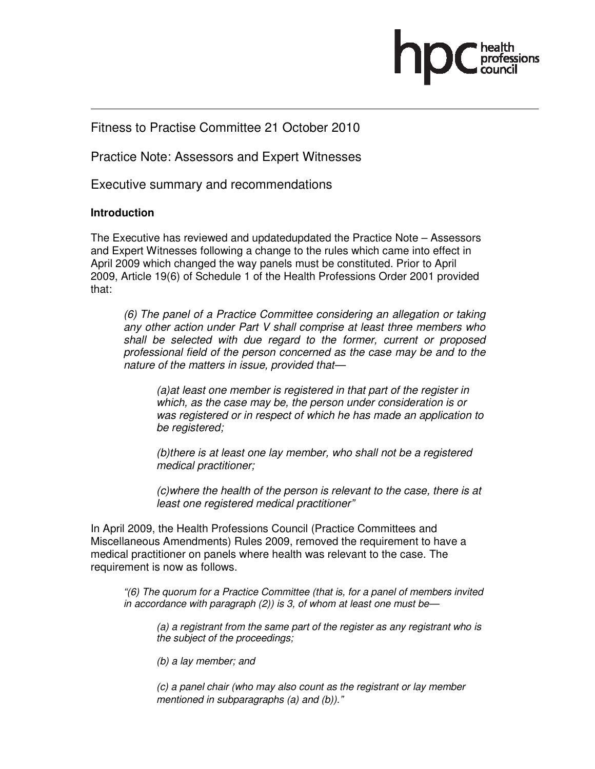

# Fitness to Practise Committee 21 October 2010

Practice Note: Assessors and Expert Witnesses

Executive summary and recommendations

# **Introduction**

The Executive has reviewed and updatedupdated the Practice Note – Assessors and Expert Witnesses following a change to the rules which came into effect in April 2009 which changed the way panels must be constituted. Prior to April 2009, Article 19(6) of Schedule 1 of the Health Professions Order 2001 provided that:

(6) The panel of a Practice Committee considering an allegation or taking any other action under Part V shall comprise at least three members who shall be selected with due regard to the former, current or proposed professional field of the person concerned as the case may be and to the nature of the matters in issue, provided that—

(a)at least one member is registered in that part of the register in which, as the case may be, the person under consideration is or was registered or in respect of which he has made an application to be registered;

(b)there is at least one lay member, who shall not be a registered medical practitioner;

(c)where the health of the person is relevant to the case, there is at least one registered medical practitioner"

In April 2009, the Health Professions Council (Practice Committees and Miscellaneous Amendments) Rules 2009, removed the requirement to have a medical practitioner on panels where health was relevant to the case. The requirement is now as follows.

"(6) The quorum for a Practice Committee (that is, for a panel of members invited in accordance with paragraph (2)) is 3, of whom at least one must be—

(a) a registrant from the same part of the register as any registrant who is the subject of the proceedings;

(b) a lay member; and

(c) a panel chair (who may also count as the registrant or lay member mentioned in subparagraphs (a) and (b))."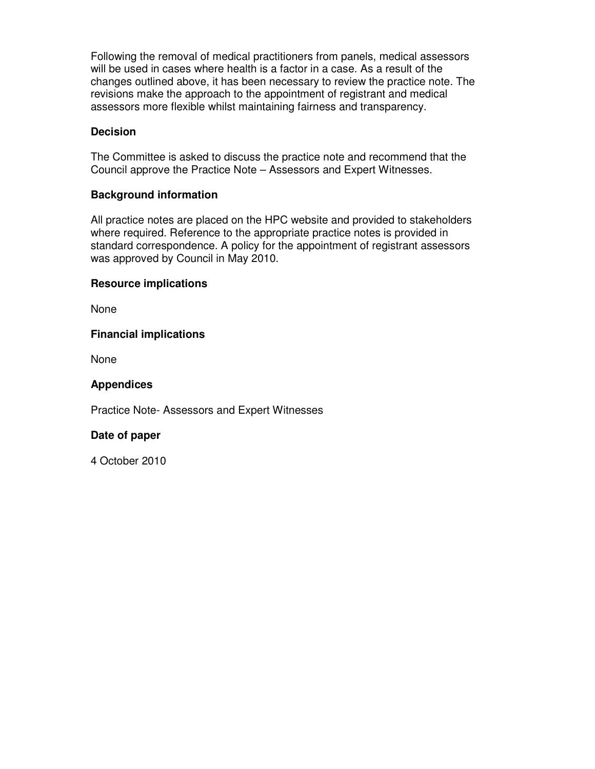Following the removal of medical practitioners from panels, medical assessors will be used in cases where health is a factor in a case. As a result of the changes outlined above, it has been necessary to review the practice note. The revisions make the approach to the appointment of registrant and medical assessors more flexible whilst maintaining fairness and transparency.

# **Decision**

The Committee is asked to discuss the practice note and recommend that the Council approve the Practice Note – Assessors and Expert Witnesses.

#### **Background information**

All practice notes are placed on the HPC website and provided to stakeholders where required. Reference to the appropriate practice notes is provided in standard correspondence. A policy for the appointment of registrant assessors was approved by Council in May 2010.

#### **Resource implications**

None

# **Financial implications**

None

#### **Appendices**

Practice Note- Assessors and Expert Witnesses

#### **Date of paper**

4 October 2010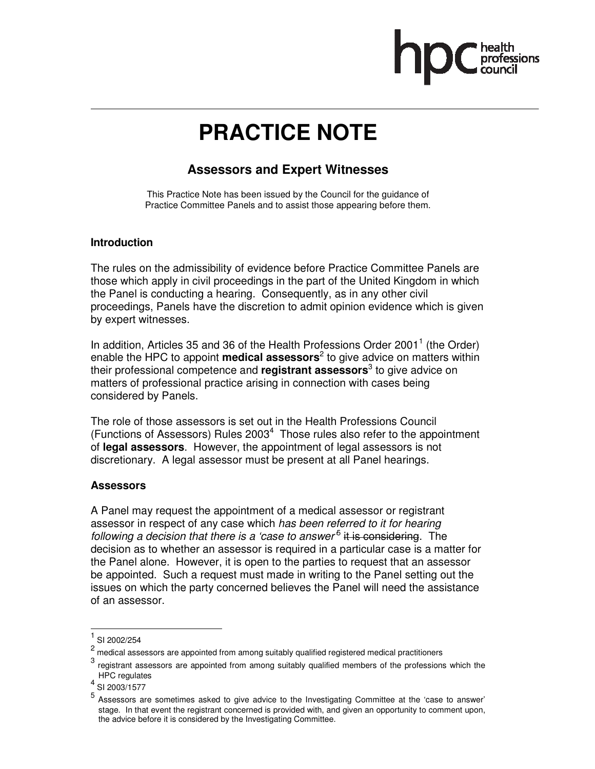

# **PRACTICE NOTE**

# **Assessors and Expert Witnesses**

This Practice Note has been issued by the Council for the guidance of Practice Committee Panels and to assist those appearing before them.

# **Introduction**

The rules on the admissibility of evidence before Practice Committee Panels are those which apply in civil proceedings in the part of the United Kingdom in which the Panel is conducting a hearing. Consequently, as in any other civil proceedings, Panels have the discretion to admit opinion evidence which is given by expert witnesses.

In addition, Articles 35 and 36 of the Health Professions Order 2001<sup>1</sup> (the Order) enable the HPC to appoint **medical assessors**<sup>2</sup> to give advice on matters within their professional competence and **registrant assessors**<sup>3</sup> to give advice on matters of professional practice arising in connection with cases being considered by Panels.

The role of those assessors is set out in the Health Professions Council (Functions of Assessors) Rules  $2003<sup>4</sup>$  Those rules also refer to the appointment of **legal assessors**. However, the appointment of legal assessors is not discretionary. A legal assessor must be present at all Panel hearings.

# **Assessors**

A Panel may request the appointment of a medical assessor or registrant assessor in respect of any case which has been referred to it for hearing following a decision that there is a 'case to answer<sup>5</sup> it is considering. The decision as to whether an assessor is required in a particular case is a matter for the Panel alone. However, it is open to the parties to request that an assessor be appointed. Such a request must made in writing to the Panel setting out the issues on which the party concerned believes the Panel will need the assistance of an assessor.

.

<sup>1</sup> SI 2002/254

<sup>2</sup> medical assessors are appointed from among suitably qualified registered medical practitioners

<sup>3</sup> registrant assessors are appointed from among suitably qualified members of the professions which the HPC regulates 4

SI 2003/1577

<sup>5</sup> Assessors are sometimes asked to give advice to the Investigating Committee at the 'case to answer' stage. In that event the registrant concerned is provided with, and given an opportunity to comment upon, the advice before it is considered by the Investigating Committee.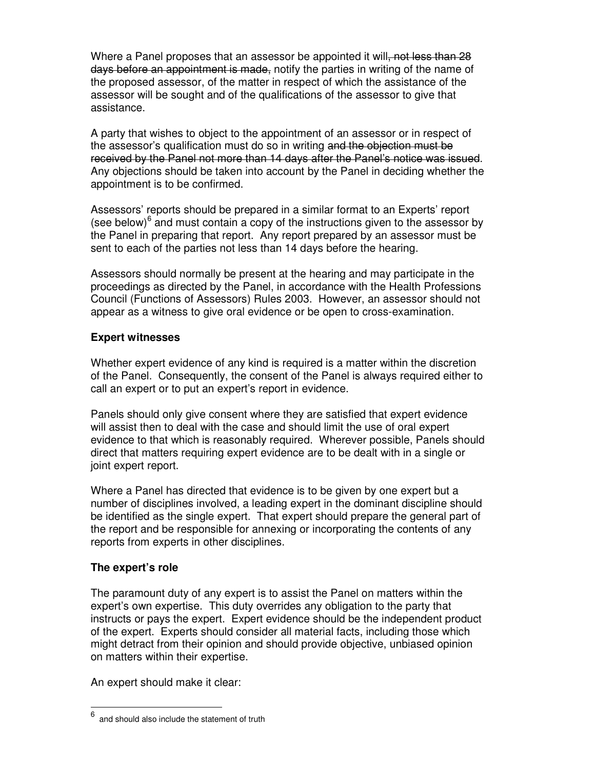Where a Panel proposes that an assessor be appointed it will, not less than 28 days before an appointment is made, notify the parties in writing of the name of the proposed assessor, of the matter in respect of which the assistance of the assessor will be sought and of the qualifications of the assessor to give that assistance.

A party that wishes to object to the appointment of an assessor or in respect of the assessor's qualification must do so in writing and the objection must be received by the Panel not more than 14 days after the Panel's notice was issued. Any objections should be taken into account by the Panel in deciding whether the appointment is to be confirmed.

Assessors' reports should be prepared in a similar format to an Experts' report (see below) $6$  and must contain a copy of the instructions given to the assessor by the Panel in preparing that report. Any report prepared by an assessor must be sent to each of the parties not less than 14 days before the hearing.

Assessors should normally be present at the hearing and may participate in the proceedings as directed by the Panel, in accordance with the Health Professions Council (Functions of Assessors) Rules 2003. However, an assessor should not appear as a witness to give oral evidence or be open to cross-examination.

# **Expert witnesses**

Whether expert evidence of any kind is required is a matter within the discretion of the Panel. Consequently, the consent of the Panel is always required either to call an expert or to put an expert's report in evidence.

Panels should only give consent where they are satisfied that expert evidence will assist then to deal with the case and should limit the use of oral expert evidence to that which is reasonably required. Wherever possible, Panels should direct that matters requiring expert evidence are to be dealt with in a single or joint expert report.

Where a Panel has directed that evidence is to be given by one expert but a number of disciplines involved, a leading expert in the dominant discipline should be identified as the single expert. That expert should prepare the general part of the report and be responsible for annexing or incorporating the contents of any reports from experts in other disciplines.

# **The expert's role**

 $\overline{a}$ 

The paramount duty of any expert is to assist the Panel on matters within the expert's own expertise. This duty overrides any obligation to the party that instructs or pays the expert. Expert evidence should be the independent product of the expert. Experts should consider all material facts, including those which might detract from their opinion and should provide objective, unbiased opinion on matters within their expertise.

An expert should make it clear:

<sup>6</sup> and should also include the statement of truth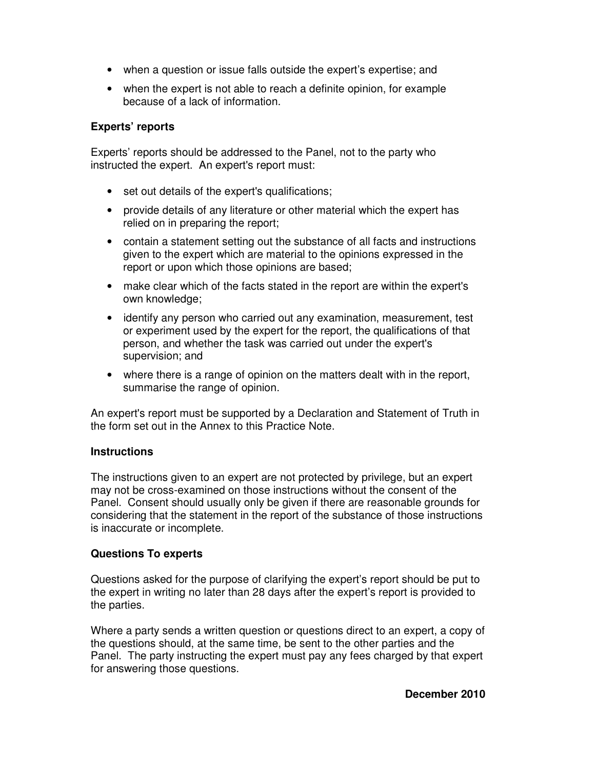- when a question or issue falls outside the expert's expertise; and
- when the expert is not able to reach a definite opinion, for example because of a lack of information.

# **Experts' reports**

Experts' reports should be addressed to the Panel, not to the party who instructed the expert. An expert's report must:

- set out details of the expert's qualifications;
- provide details of any literature or other material which the expert has relied on in preparing the report;
- contain a statement setting out the substance of all facts and instructions given to the expert which are material to the opinions expressed in the report or upon which those opinions are based;
- make clear which of the facts stated in the report are within the expert's own knowledge;
- identify any person who carried out any examination, measurement, test or experiment used by the expert for the report, the qualifications of that person, and whether the task was carried out under the expert's supervision; and
- where there is a range of opinion on the matters dealt with in the report, summarise the range of opinion.

An expert's report must be supported by a Declaration and Statement of Truth in the form set out in the Annex to this Practice Note.

# **Instructions**

The instructions given to an expert are not protected by privilege, but an expert may not be cross-examined on those instructions without the consent of the Panel. Consent should usually only be given if there are reasonable grounds for considering that the statement in the report of the substance of those instructions is inaccurate or incomplete.

# **Questions To experts**

Questions asked for the purpose of clarifying the expert's report should be put to the expert in writing no later than 28 days after the expert's report is provided to the parties.

Where a party sends a written question or questions direct to an expert, a copy of the questions should, at the same time, be sent to the other parties and the Panel. The party instructing the expert must pay any fees charged by that expert for answering those questions.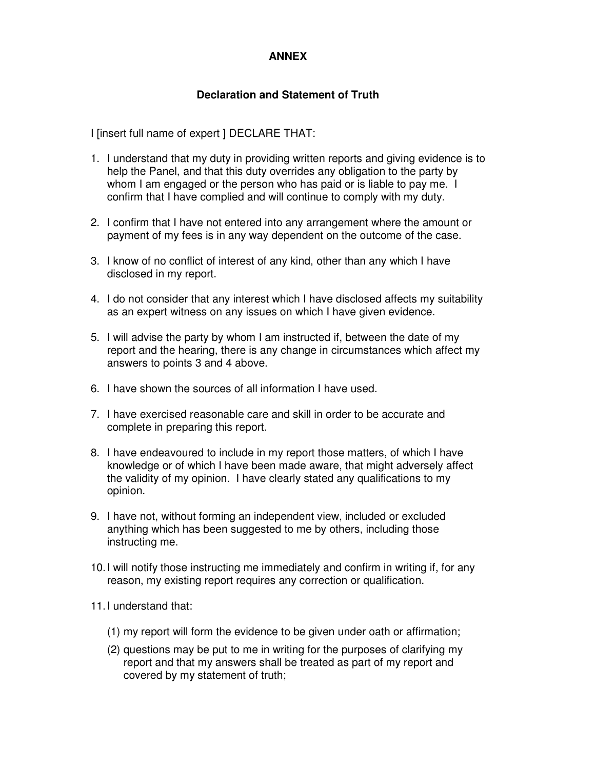# **ANNEX**

# **Declaration and Statement of Truth**

I [insert full name of expert ] DECLARE THAT:

- 1. I understand that my duty in providing written reports and giving evidence is to help the Panel, and that this duty overrides any obligation to the party by whom I am engaged or the person who has paid or is liable to pay me. I confirm that I have complied and will continue to comply with my duty.
- 2. I confirm that I have not entered into any arrangement where the amount or payment of my fees is in any way dependent on the outcome of the case.
- 3. I know of no conflict of interest of any kind, other than any which I have disclosed in my report.
- 4. I do not consider that any interest which I have disclosed affects my suitability as an expert witness on any issues on which I have given evidence.
- 5. I will advise the party by whom I am instructed if, between the date of my report and the hearing, there is any change in circumstances which affect my answers to points 3 and 4 above.
- 6. I have shown the sources of all information I have used.
- 7. I have exercised reasonable care and skill in order to be accurate and complete in preparing this report.
- 8. I have endeavoured to include in my report those matters, of which I have knowledge or of which I have been made aware, that might adversely affect the validity of my opinion. I have clearly stated any qualifications to my opinion.
- 9. I have not, without forming an independent view, included or excluded anything which has been suggested to me by others, including those instructing me.
- 10. I will notify those instructing me immediately and confirm in writing if, for any reason, my existing report requires any correction or qualification.
- 11. I understand that:
	- (1) my report will form the evidence to be given under oath or affirmation;
	- (2) questions may be put to me in writing for the purposes of clarifying my report and that my answers shall be treated as part of my report and covered by my statement of truth;